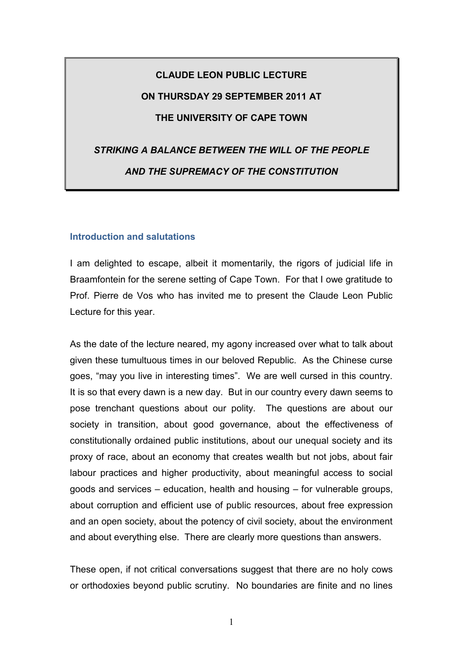# **CLAUDE LEON PUBLIC LECTURE ON THURSDAY 29 SEPTEMBER 2011 AT THE UNIVERSITY OF CAPE TOWN**

# *STRIKING A BALANCE BETWEEN THE WILL OF THE PEOPLE AND THE SUPREMACY OF THE CONSTITUTION*

## **Introduction and salutations**

I am delighted to escape, albeit it momentarily, the rigors of judicial life in Braamfontein for the serene setting of Cape Town. For that I owe gratitude to Prof. Pierre de Vos who has invited me to present the Claude Leon Public Lecture for this year.

As the date of the lecture neared, my agony increased over what to talk about given these tumultuous times in our beloved Republic. As the Chinese curse goes, "may you live in interesting times". We are well cursed in this country. It is so that every dawn is a new day. But in our country every dawn seems to pose trenchant questions about our polity. The questions are about our society in transition, about good governance, about the effectiveness of constitutionally ordained public institutions, about our unequal society and its proxy of race, about an economy that creates wealth but not jobs, about fair labour practices and higher productivity, about meaningful access to social goods and services – education, health and housing – for vulnerable groups, about corruption and efficient use of public resources, about free expression and an open society, about the potency of civil society, about the environment and about everything else. There are clearly more questions than answers.

These open, if not critical conversations suggest that there are no holy cows or orthodoxies beyond public scrutiny. No boundaries are finite and no lines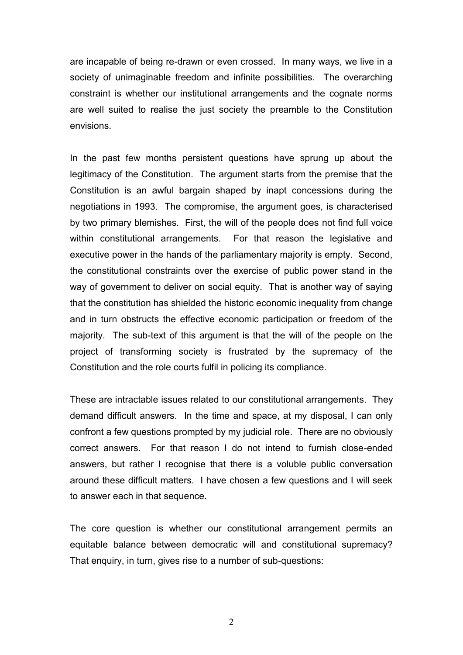are incapable of being re-drawn or even crossed. In many ways, we live in a society of unimaginable freedom and infinite possibilities. The overarching constraint is whether our institutional arrangements and the cognate norms are well suited to realise the just society the preamble to the Constitution envisions.

In the past few months persistent questions have sprung up about the legitimacy of the Constitution. The argument starts from the premise that the Constitution is an awful bargain shaped by inapt concessions during the negotiations in 1993. The compromise, the argument goes, is characterised by two primary blemishes. First, the will of the people does not find full voice within constitutional arrangements. For that reason the legislative and executive power in the hands of the parliamentary majority is empty. Second, the constitutional constraints over the exercise of public power stand in the way of government to deliver on social equity. That is another way of saying that the constitution has shielded the historic economic inequality from change and in turn obstructs the effective economic participation or freedom of the majority. The sub-text of this argument is that the will of the people on the project of transforming society is frustrated by the supremacy of the Constitution and the role courts fulfil in policing its compliance.

These are intractable issues related to our constitutional arrangements. They demand difficult answers. In the time and space, at my disposal, I can only confront a few questions prompted by my judicial role. There are no obviously correct answers. For that reason I do not intend to furnish close-ended answers, but rather I recognise that there is a voluble public conversation around these difficult matters. I have chosen a few questions and I will seek to answer each in that sequence.

The core question is whether our constitutional arrangement permits an equitable balance between democratic will and constitutional supremacy? That enquiry, in turn, gives rise to a number of sub-questions: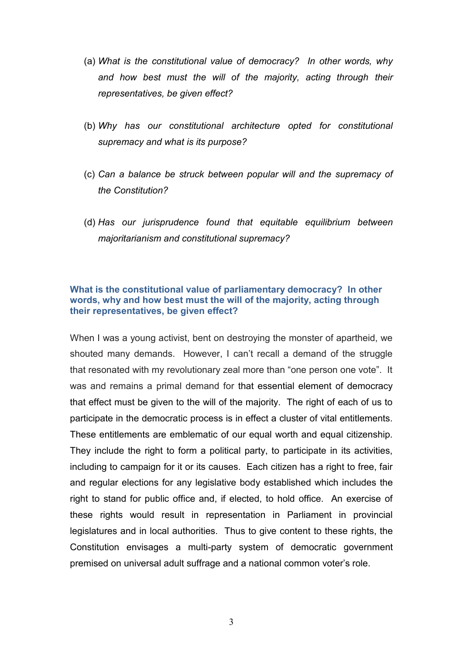- (a) *What is the constitutional value of democracy? In other words, why and how best must the will of the majority, acting through their representatives, be given effect?*
- (b) *Why has our constitutional architecture opted for constitutional supremacy and what is its purpose?*
- (c) *Can a balance be struck between popular will and the supremacy of the Constitution?*
- (d) *Has our jurisprudence found that equitable equilibrium between majoritarianism and constitutional supremacy?*

#### **What is the constitutional value of parliamentary democracy? In other words, why and how best must the will of the majority, acting through their representatives, be given effect?**

When I was a young activist, bent on destroying the monster of apartheid, we shouted many demands. However, I can't recall a demand of the struggle that resonated with my revolutionary zeal more than "one person one vote". It was and remains a primal demand for that essential element of democracy that effect must be given to the will of the majority. The right of each of us to participate in the democratic process is in effect a cluster of vital entitlements. These entitlements are emblematic of our equal worth and equal citizenship. They include the right to form a political party, to participate in its activities, including to campaign for it or its causes. Each citizen has a right to free, fair and regular elections for any legislative body established which includes the right to stand for public office and, if elected, to hold office. An exercise of these rights would result in representation in Parliament in provincial legislatures and in local authorities. Thus to give content to these rights, the Constitution envisages a multi-party system of democratic government premised on universal adult suffrage and a national common voter's role.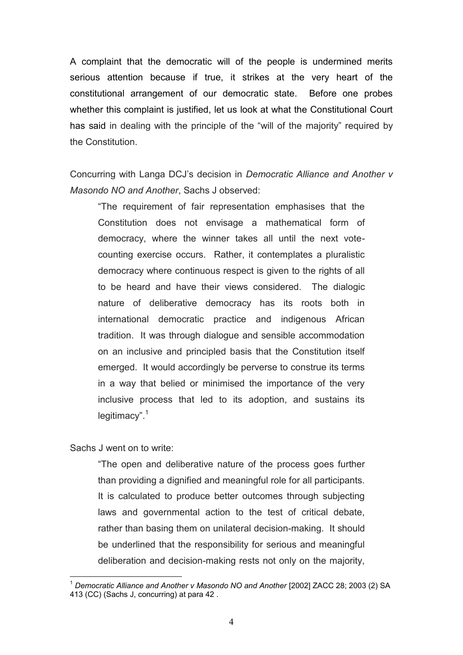A complaint that the democratic will of the people is undermined merits serious attention because if true, it strikes at the very heart of the constitutional arrangement of our democratic state. Before one probes whether this complaint is justified, let us look at what the Constitutional Court has said in dealing with the principle of the "will of the majority" required by the Constitution.

Concurring with Langa DCJ's decision in *Democratic Alliance and Another v Masondo NO and Another*, Sachs J observed:

"The requirement of fair representation emphasises that the Constitution does not envisage a mathematical form of democracy, where the winner takes all until the next votecounting exercise occurs. Rather, it contemplates a pluralistic democracy where continuous respect is given to the rights of all to be heard and have their views considered. The dialogic nature of deliberative democracy has its roots both in international democratic practice and indigenous African tradition. It was through dialogue and sensible accommodation on an inclusive and principled basis that the Constitution itself emerged. It would accordingly be perverse to construe its terms in a way that belied or minimised the importance of the very inclusive process that led to its adoption, and sustains its legitimacy".<sup>1</sup>

Sachs J went on to write:

1

"The open and deliberative nature of the process goes further than providing a dignified and meaningful role for all participants. It is calculated to produce better outcomes through subjecting laws and governmental action to the test of critical debate, rather than basing them on unilateral decision-making. It should be underlined that the responsibility for serious and meaningful deliberation and decision-making rests not only on the majority,

<sup>1</sup> *Democratic Alliance and Another v Masondo NO and Another* [2002] ZACC 28; 2003 (2) SA 413 (CC) (Sachs J, concurring) at para 42 .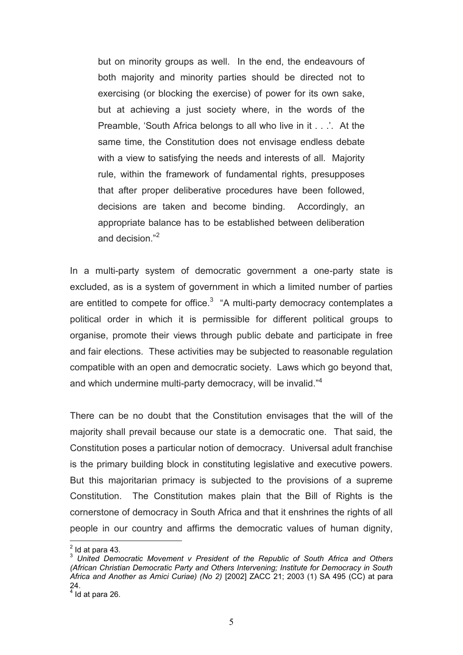but on minority groups as well. In the end, the endeavours of both majority and minority parties should be directed not to exercising (or blocking the exercise) of power for its own sake, but at achieving a just society where, in the words of the Preamble, 'South Africa belongs to all who live in it . . .'. At the same time, the Constitution does not envisage endless debate with a view to satisfying the needs and interests of all. Majority rule, within the framework of fundamental rights, presupposes that after proper deliberative procedures have been followed, decisions are taken and become binding. Accordingly, an appropriate balance has to be established between deliberation and decision."<sup>2</sup>

In a multi-party system of democratic government a one-party state is excluded, as is a system of government in which a limited number of parties are entitled to compete for office. $3$  "A multi-party democracy contemplates a political order in which it is permissible for different political groups to organise, promote their views through public debate and participate in free and fair elections. These activities may be subjected to reasonable regulation compatible with an open and democratic society. Laws which go beyond that, and which undermine multi-party democracy, will be invalid."<sup>4</sup>

There can be no doubt that the Constitution envisages that the will of the majority shall prevail because our state is a democratic one. That said, the Constitution poses a particular notion of democracy. Universal adult franchise is the primary building block in constituting legislative and executive powers. But this majoritarian primacy is subjected to the provisions of a supreme Constitution. The Constitution makes plain that the Bill of Rights is the cornerstone of democracy in South Africa and that it enshrines the rights of all people in our country and affirms the democratic values of human dignity,

 $<sup>2</sup>$  Id at para 43.</sup>

<sup>3</sup> *United Democratic Movement v President of the Republic of South Africa and Others (African Christian Democratic Party and Others Intervening; Institute for Democracy in South Africa and Another as Amici Curiae) (No 2)* [2002] ZACC 21; 2003 (1) SA 495 (CC) at para 24.

 $<sup>4</sup>$  Id at para 26.</sup>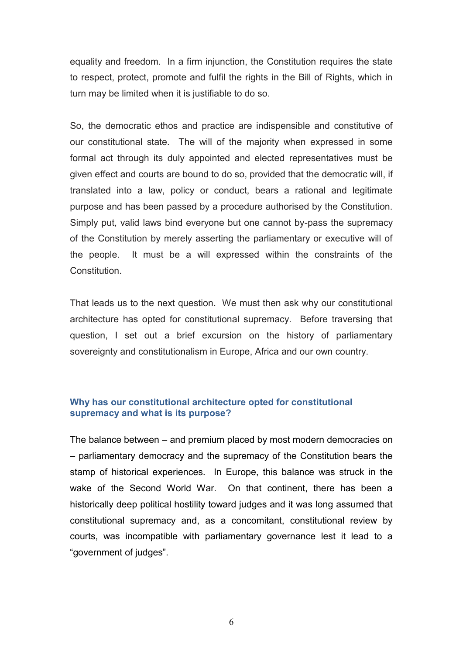equality and freedom. In a firm injunction, the Constitution requires the state to respect, protect, promote and fulfil the rights in the Bill of Rights, which in turn may be limited when it is justifiable to do so.

So, the democratic ethos and practice are indispensible and constitutive of our constitutional state. The will of the majority when expressed in some formal act through its duly appointed and elected representatives must be given effect and courts are bound to do so, provided that the democratic will, if translated into a law, policy or conduct, bears a rational and legitimate purpose and has been passed by a procedure authorised by the Constitution. Simply put, valid laws bind everyone but one cannot by-pass the supremacy of the Constitution by merely asserting the parliamentary or executive will of the people. It must be a will expressed within the constraints of the **Constitution** 

That leads us to the next question. We must then ask why our constitutional architecture has opted for constitutional supremacy. Before traversing that question, I set out a brief excursion on the history of parliamentary sovereignty and constitutionalism in Europe, Africa and our own country.

# **Why has our constitutional architecture opted for constitutional supremacy and what is its purpose?**

The balance between – and premium placed by most modern democracies on – parliamentary democracy and the supremacy of the Constitution bears the stamp of historical experiences. In Europe, this balance was struck in the wake of the Second World War. On that continent, there has been a historically deep political hostility toward judges and it was long assumed that constitutional supremacy and, as a concomitant, constitutional review by courts, was incompatible with parliamentary governance lest it lead to a "government of judges".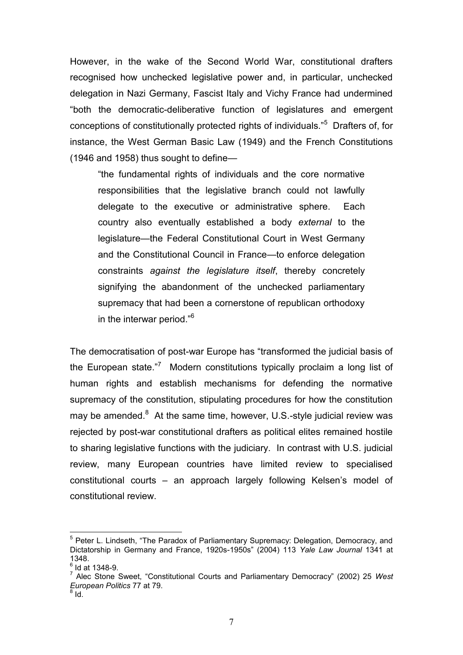However, in the wake of the Second World War, constitutional drafters recognised how unchecked legislative power and, in particular, unchecked delegation in Nazi Germany, Fascist Italy and Vichy France had undermined "both the democratic-deliberative function of legislatures and emergent conceptions of constitutionally protected rights of individuals."<sup>5</sup> Drafters of, for instance, the West German Basic Law (1949) and the French Constitutions (1946 and 1958) thus sought to define—

"the fundamental rights of individuals and the core normative responsibilities that the legislative branch could not lawfully delegate to the executive or administrative sphere. Each country also eventually established a body *external* to the legislature—the Federal Constitutional Court in West Germany and the Constitutional Council in France—to enforce delegation constraints *against the legislature itself*, thereby concretely signifying the abandonment of the unchecked parliamentary supremacy that had been a cornerstone of republican orthodoxy in the interwar period."<sup>6</sup>

<span id="page-6-0"></span>The democratisation of post-war Europe has "transformed the judicial basis of the European state."<sup>7</sup> Modern constitutions typically proclaim a long list of human rights and establish mechanisms for defending the normative supremacy of the constitution, stipulating procedures for how the constitution may be amended. $8$  At the same time, however, U.S.-style judicial review was rejected by post-war constitutional drafters as political elites remained hostile to sharing legislative functions with the judiciary. In contrast with U.S. judicial review, many European countries have limited review to specialised constitutional courts – an approach largely following Kelsen's model of constitutional review.

<sup>&</sup>lt;sup>5</sup> Peter L. Lindseth, "The Paradox of Parliamentary Supremacy: Delegation, Democracy, and Dictatorship in Germany and France, 1920s-1950s" (2004) 113 *Yale Law Journal* 1341 at 1348.

 $^6$  Id at 1348-9.

<sup>7</sup> Alec Stone Sweet, "Constitutional Courts and Parliamentary Democracy" (2002) 25 *West European Politics* 77 at 79. 8

Id.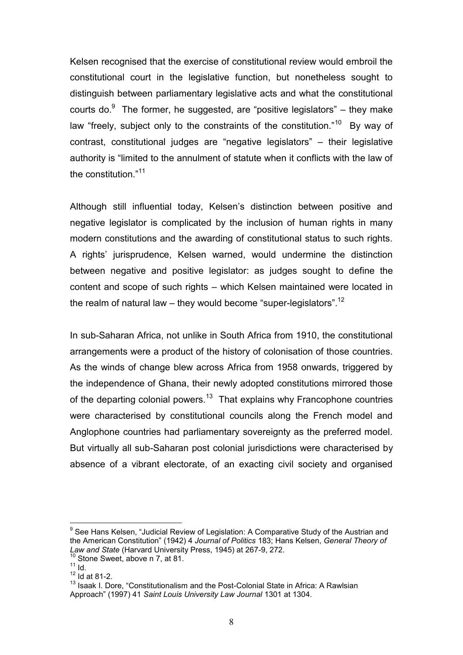Kelsen recognised that the exercise of constitutional review would embroil the constitutional court in the legislative function, but nonetheless sought to distinguish between parliamentary legislative acts and what the constitutional courts do. $9$  The former, he suggested, are "positive legislators" – they make law "freely, subject only to the constraints of the constitution."<sup>10</sup> By way of contrast, constitutional judges are "negative legislators" – their legislative authority is "limited to the annulment of statute when it conflicts with the law of the constitution."<sup>11</sup>

Although still influential today, Kelsen's distinction between positive and negative legislator is complicated by the inclusion of human rights in many modern constitutions and the awarding of constitutional status to such rights. A rights' jurisprudence, Kelsen warned, would undermine the distinction between negative and positive legislator: as judges sought to define the content and scope of such rights – which Kelsen maintained were located in the realm of natural law – they would become "super-legislators".<sup>12</sup>

In sub-Saharan Africa, not unlike in South Africa from 1910, the constitutional arrangements were a product of the history of colonisation of those countries. As the winds of change blew across Africa from 1958 onwards, triggered by the independence of Ghana, their newly adopted constitutions mirrored those of the departing colonial powers.<sup>13</sup> That explains why Francophone countries were characterised by constitutional councils along the French model and Anglophone countries had parliamentary sovereignty as the preferred model. But virtually all sub-Saharan post colonial jurisdictions were characterised by absence of a vibrant electorate, of an exacting civil society and organised

<sup>&</sup>lt;sup>9</sup> See Hans Kelsen, "Judicial Review of Legislation: A Comparative Study of the Austrian and the American Constitution" (1942) 4 *Journal of Politics* 183; Hans Kelsen, *General Theory of Law and State* (Harvard University Press, 1945) at 267-9, 272.

 $10$  Stone Sweet, above n [7,](#page-6-0) at 81.  $\frac{11}{11}$  Id.

 $12$  Id at 81-2.

<sup>&</sup>lt;sup>13</sup> Isaak I. Dore, "Constitutionalism and the Post-Colonial State in Africa: A Rawlsian Approach" (1997) 41 *Saint Louis University Law Journal* 1301 at 1304.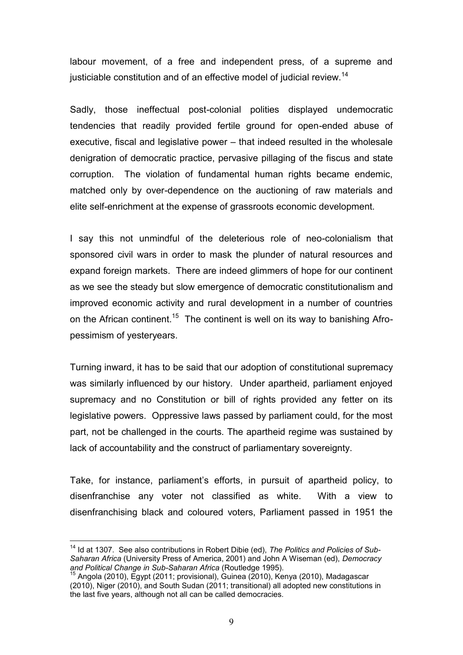labour movement, of a free and independent press, of a supreme and justiciable constitution and of an effective model of judicial review.<sup>14</sup>

Sadly, those ineffectual post-colonial polities displayed undemocratic tendencies that readily provided fertile ground for open-ended abuse of executive, fiscal and legislative power – that indeed resulted in the wholesale denigration of democratic practice, pervasive pillaging of the fiscus and state corruption. The violation of fundamental human rights became endemic, matched only by over-dependence on the auctioning of raw materials and elite self-enrichment at the expense of grassroots economic development.

I say this not unmindful of the deleterious role of neo-colonialism that sponsored civil wars in order to mask the plunder of natural resources and expand foreign markets. There are indeed glimmers of hope for our continent as we see the steady but slow emergence of democratic constitutionalism and improved economic activity and rural development in a number of countries on the African continent.<sup>15</sup> The continent is well on its way to banishing Afropessimism of yesteryears.

Turning inward, it has to be said that our adoption of constitutional supremacy was similarly influenced by our history. Under apartheid, parliament enjoyed supremacy and no Constitution or bill of rights provided any fetter on its legislative powers. Oppressive laws passed by parliament could, for the most part, not be challenged in the courts. The apartheid regime was sustained by lack of accountability and the construct of parliamentary sovereignty.

Take, for instance, parliament's efforts, in pursuit of apartheid policy, to disenfranchise any voter not classified as white. With a view to disenfranchising black and coloured voters, Parliament passed in 1951 the

<sup>&</sup>lt;sup>14</sup> Id at 1307. See also contributions in Robert Dibie (ed), The Politics and Policies of Sub-*Saharan Africa* (University Press of America, 2001) and John A Wiseman (ed), *Democracy and Political Change in Sub-Saharan Africa* (Routledge 1995).

<sup>15</sup> Angola (2010), Egypt (2011; provisional), Guinea (2010), Kenya (2010), Madagascar (2010), Niger (2010), and South Sudan (2011; transitional) all adopted new constitutions in the last five years, although not all can be called democracies.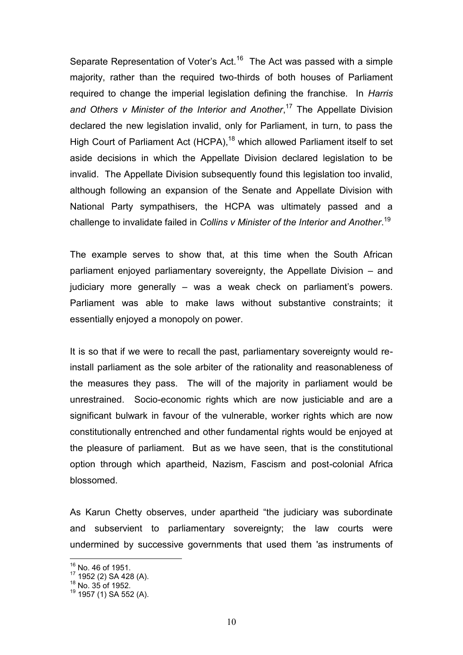Separate Representation of Voter's Act.<sup>16</sup> The Act was passed with a simple majority, rather than the required two-thirds of both houses of Parliament required to change the imperial legislation defining the franchise. In *Harris and Others v Minister of the Interior and Another*, <sup>17</sup> The Appellate Division declared the new legislation invalid, only for Parliament, in turn, to pass the High Court of Parliament Act (HCPA),<sup>18</sup> which allowed Parliament itself to set aside decisions in which the Appellate Division declared legislation to be invalid. The Appellate Division subsequently found this legislation too invalid, although following an expansion of the Senate and Appellate Division with National Party sympathisers, the HCPA was ultimately passed and a challenge to invalidate failed in *Collins v Minister of the Interior and Another*. 19

The example serves to show that, at this time when the South African parliament enjoyed parliamentary sovereignty, the Appellate Division – and judiciary more generally – was a weak check on parliament's powers. Parliament was able to make laws without substantive constraints; it essentially enjoyed a monopoly on power.

It is so that if we were to recall the past, parliamentary sovereignty would reinstall parliament as the sole arbiter of the rationality and reasonableness of the measures they pass. The will of the majority in parliament would be unrestrained. Socio-economic rights which are now justiciable and are a significant bulwark in favour of the vulnerable, worker rights which are now constitutionally entrenched and other fundamental rights would be enjoyed at the pleasure of parliament. But as we have seen, that is the constitutional option through which apartheid, Nazism, Fascism and post-colonial Africa blossomed.

As Karun Chetty observes, under apartheid "the judiciary was subordinate and subservient to parliamentary sovereignty; the law courts were undermined by successive governments that used them 'as instruments of

 $^{16}$  No. 46 of 1951.

 $17$  1952 (2) SA 428 (A).

<sup>18</sup> No. 35 of 1952.

<sup>19</sup> 1957 (1) SA 552 (A).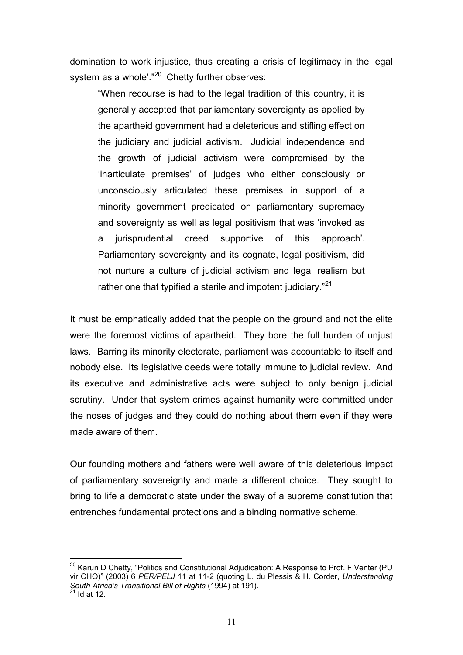domination to work injustice, thus creating a crisis of legitimacy in the legal system as a whole'."<sup>20</sup> Chetty further observes:

"When recourse is had to the legal tradition of this country, it is generally accepted that parliamentary sovereignty as applied by the apartheid government had a deleterious and stifling effect on the judiciary and judicial activism. Judicial independence and the growth of judicial activism were compromised by the 'inarticulate premises' of judges who either consciously or unconsciously articulated these premises in support of a minority government predicated on parliamentary supremacy and sovereignty as well as legal positivism that was 'invoked as a jurisprudential creed supportive of this approach'. Parliamentary sovereignty and its cognate, legal positivism, did not nurture a culture of judicial activism and legal realism but rather one that typified a sterile and impotent judiciary."<sup>21</sup>

It must be emphatically added that the people on the ground and not the elite were the foremost victims of apartheid. They bore the full burden of unjust laws. Barring its minority electorate, parliament was accountable to itself and nobody else. Its legislative deeds were totally immune to judicial review. And its executive and administrative acts were subject to only benign judicial scrutiny. Under that system crimes against humanity were committed under the noses of judges and they could do nothing about them even if they were made aware of them.

Our founding mothers and fathers were well aware of this deleterious impact of parliamentary sovereignty and made a different choice. They sought to bring to life a democratic state under the sway of a supreme constitution that entrenches fundamental protections and a binding normative scheme.

<sup>&</sup>lt;sup>20</sup> Karun D Chetty, "Politics and Constitutional Adjudication: A Response to Prof. F Venter (PU vir CHO)" (2003) 6 *PER/PELJ* 11 at 11-2 (quoting L. du Plessis & H. Corder, *Understanding South Africa's Transitional Bill of Rights* (1994) at 191).

 $21$  Id at 12.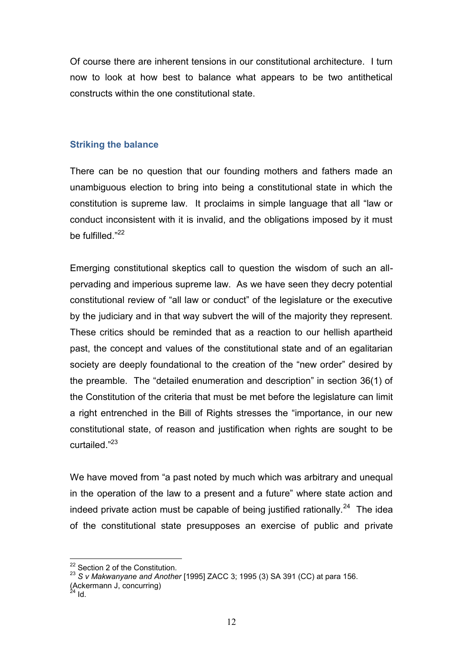Of course there are inherent tensions in our constitutional architecture. I turn now to look at how best to balance what appears to be two antithetical constructs within the one constitutional state.

# **Striking the balance**

There can be no question that our founding mothers and fathers made an unambiguous election to bring into being a constitutional state in which the constitution is supreme law. It proclaims in simple language that all "law or conduct inconsistent with it is invalid, and the obligations imposed by it must be fulfilled."<sup>22</sup>

Emerging constitutional skeptics call to question the wisdom of such an allpervading and imperious supreme law. As we have seen they decry potential constitutional review of "all law or conduct" of the legislature or the executive by the judiciary and in that way subvert the will of the majority they represent. These critics should be reminded that as a reaction to our hellish apartheid past, the concept and values of the constitutional state and of an egalitarian society are deeply foundational to the creation of the "new order" desired by the preamble. The "detailed enumeration and description" in section 36(1) of the Constitution of the criteria that must be met before the legislature can limit a right entrenched in the Bill of Rights stresses the "importance, in our new constitutional state, of reason and justification when rights are sought to be curtailed."<sup>23</sup>

We have moved from "a past noted by much which was arbitrary and unequal in the operation of the law to a present and a future" where state action and indeed private action must be capable of being justified rationally.<sup>24</sup> The idea of the constitutional state presupposes an exercise of public and private

 $2^2$  Section 2 of the Constitution.

<sup>23</sup> *S v Makwanyane and Another* [1995] ZACC 3; 1995 (3) SA 391 (CC) at para 156.

<sup>(</sup>Ackermann J, concurring)

 $^{24}$  Id.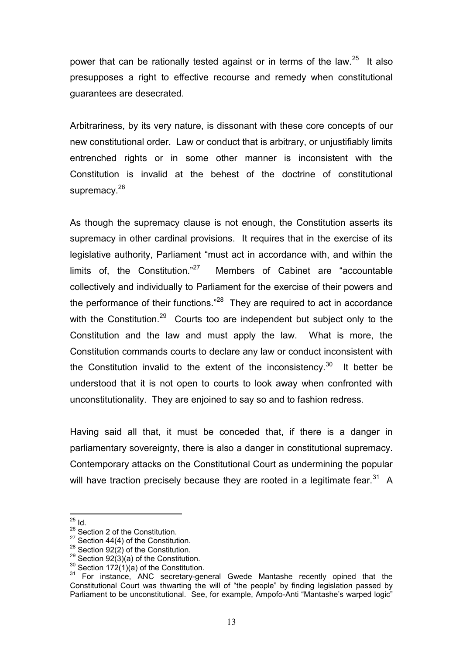power that can be rationally tested against or in terms of the law. $25$  It also presupposes a right to effective recourse and remedy when constitutional guarantees are desecrated.

Arbitrariness, by its very nature, is dissonant with these core concepts of our new constitutional order. Law or conduct that is arbitrary, or unjustifiably limits entrenched rights or in some other manner is inconsistent with the Constitution is invalid at the behest of the doctrine of constitutional supremacy.<sup>26</sup>

As though the supremacy clause is not enough, the Constitution asserts its supremacy in other cardinal provisions. It requires that in the exercise of its legislative authority, Parliament "must act in accordance with, and within the limits of, the Constitution."27 Members of Cabinet are "accountable collectively and individually to Parliament for the exercise of their powers and the performance of their functions."<sup>28</sup> They are required to act in accordance with the Constitution.<sup>29</sup> Courts too are independent but subject only to the Constitution and the law and must apply the law. What is more, the Constitution commands courts to declare any law or conduct inconsistent with the Constitution invalid to the extent of the inconsistency.<sup>30</sup> It better be understood that it is not open to courts to look away when confronted with unconstitutionality. They are enjoined to say so and to fashion redress.

Having said all that, it must be conceded that, if there is a danger in parliamentary sovereignty, there is also a danger in constitutional supremacy. Contemporary attacks on the Constitutional Court as undermining the popular will have traction precisely because they are rooted in a legitimate fear.<sup>31</sup> A

<sup>&</sup>lt;u>.</u>  $^{25}$  Id.

<sup>&</sup>lt;sup>26</sup> Section 2 of the Constitution.

 $27$  Section 44(4) of the Constitution.

<sup>&</sup>lt;sup>28</sup> Section 92(2) of the Constitution.

<sup>&</sup>lt;sup>29</sup> Section 92(3)(a) of the Constitution.

 $30$  Section 172(1)(a) of the Constitution.

 $31$  For instance, ANC secretary-general Gwede Mantashe recently opined that the Constitutional Court was thwarting the will of "the people" by finding legislation passed by Parliament to be unconstitutional. See, for example, Ampofo-Anti "Mantashe's warped logic"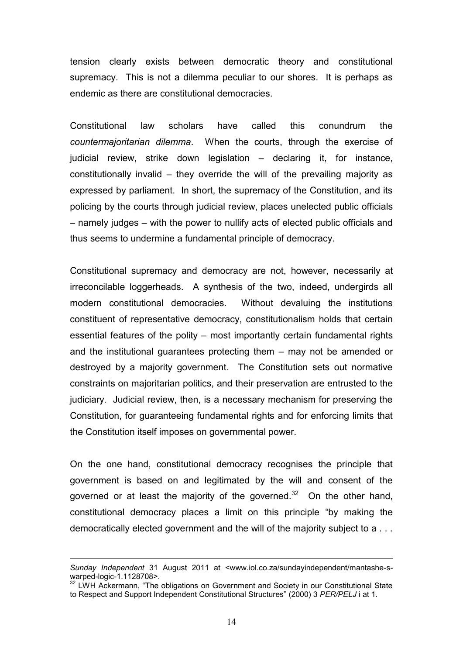tension clearly exists between democratic theory and constitutional supremacy. This is not a dilemma peculiar to our shores. It is perhaps as endemic as there are constitutional democracies.

Constitutional law scholars have called this conundrum the *countermajoritarian dilemma*. When the courts, through the exercise of judicial review, strike down legislation – declaring it, for instance, constitutionally invalid – they override the will of the prevailing majority as expressed by parliament. In short, the supremacy of the Constitution, and its policing by the courts through judicial review, places unelected public officials – namely judges – with the power to nullify acts of elected public officials and thus seems to undermine a fundamental principle of democracy.

Constitutional supremacy and democracy are not, however, necessarily at irreconcilable loggerheads. A synthesis of the two, indeed, undergirds all modern constitutional democracies. Without devaluing the institutions constituent of representative democracy, constitutionalism holds that certain essential features of the polity – most importantly certain fundamental rights and the institutional guarantees protecting them – may not be amended or destroyed by a majority government. The Constitution sets out normative constraints on majoritarian politics, and their preservation are entrusted to the judiciary. Judicial review, then, is a necessary mechanism for preserving the Constitution, for guaranteeing fundamental rights and for enforcing limits that the Constitution itself imposes on governmental power.

<span id="page-13-0"></span>On the one hand, constitutional democracy recognises the principle that government is based on and legitimated by the will and consent of the governed or at least the majority of the governed.<sup>32</sup> On the other hand, constitutional democracy places a limit on this principle "by making the democratically elected government and the will of the majority subject to a . . .

*Sunday Independent* 31 August 2011 at <www.iol.co.za/sundayindependent/mantashe-swarped-logic-1.1128708>.

warped logic 1.1120, co. 1.<br><sup>32</sup> LWH Ackermann, "The obligations on Government and Society in our Constitutional State to Respect and Support Independent Constitutional Structures" (2000) 3 *PER/PELJ* i at 1.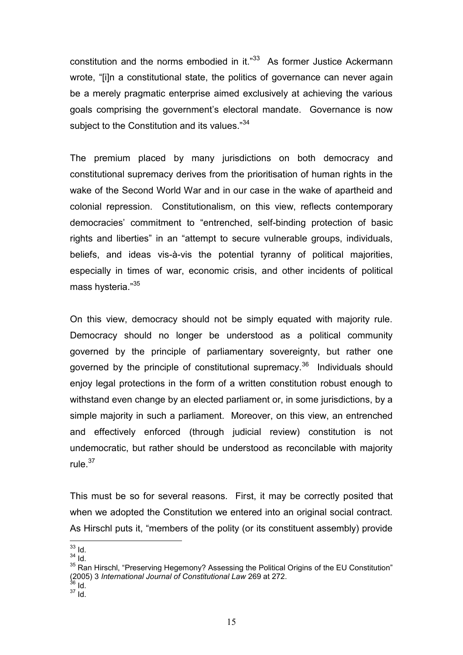constitution and the norms embodied in it."<sup>33</sup> As former Justice Ackermann wrote, "[i]n a constitutional state, the politics of governance can never again be a merely pragmatic enterprise aimed exclusively at achieving the various goals comprising the government's electoral mandate. Governance is now subject to the Constitution and its values."<sup>34</sup>

The premium placed by many jurisdictions on both democracy and constitutional supremacy derives from the prioritisation of human rights in the wake of the Second World War and in our case in the wake of apartheid and colonial repression. Constitutionalism, on this view, reflects contemporary democracies' commitment to "entrenched, self-binding protection of basic rights and liberties" in an "attempt to secure vulnerable groups, individuals, beliefs, and ideas vis-à-vis the potential tyranny of political majorities, especially in times of war, economic crisis, and other incidents of political mass hysteria."<sup>35</sup>

<span id="page-14-0"></span>On this view, democracy should not be simply equated with majority rule. Democracy should no longer be understood as a political community governed by the principle of parliamentary sovereignty, but rather one governed by the principle of constitutional supremacy.<sup>36</sup> Individuals should enjoy legal protections in the form of a written constitution robust enough to withstand even change by an elected parliament or, in some jurisdictions, by a simple majority in such a parliament. Moreover, on this view, an entrenched and effectively enforced (through judicial review) constitution is not undemocratic, but rather should be understood as reconcilable with majority rule.<sup>37</sup>

This must be so for several reasons. First, it may be correctly posited that when we adopted the Constitution we entered into an original social contract. As Hirschl puts it, "members of the polity (or its constituent assembly) provide

 $33$  Id.

 $34$   $\overline{1}$ d.

<sup>&</sup>lt;sup>35</sup> Ran Hirschl, "Preserving Hegemony? Assessing the Political Origins of the EU Constitution" (2005) 3 *International Journal of Constitutional Law* 269 at 272.

 $36$  Id.

 $37$  Id.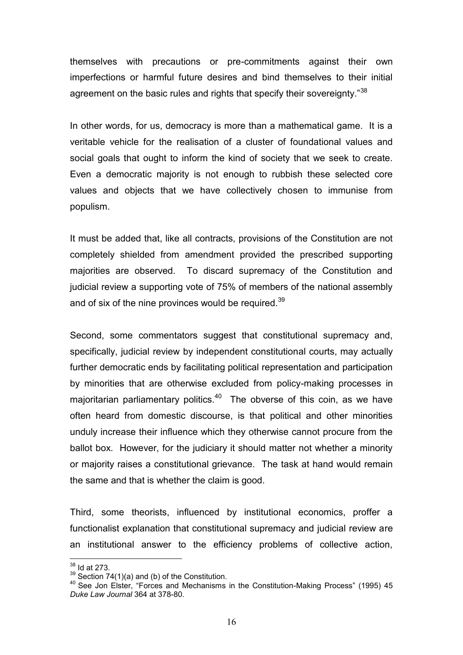themselves with precautions or pre-commitments against their own imperfections or harmful future desires and bind themselves to their initial agreement on the basic rules and rights that specify their sovereignty."<sup>38</sup>

In other words, for us, democracy is more than a mathematical game. It is a veritable vehicle for the realisation of a cluster of foundational values and social goals that ought to inform the kind of society that we seek to create. Even a democratic majority is not enough to rubbish these selected core values and objects that we have collectively chosen to immunise from populism.

It must be added that, like all contracts, provisions of the Constitution are not completely shielded from amendment provided the prescribed supporting majorities are observed. To discard supremacy of the Constitution and judicial review a supporting vote of 75% of members of the national assembly and of six of the nine provinces would be required.<sup>39</sup>

Second, some commentators suggest that constitutional supremacy and, specifically, judicial review by independent constitutional courts, may actually further democratic ends by facilitating political representation and participation by minorities that are otherwise excluded from policy-making processes in majoritarian parliamentary politics. $40$  The obverse of this coin, as we have often heard from domestic discourse, is that political and other minorities unduly increase their influence which they otherwise cannot procure from the ballot box. However, for the judiciary it should matter not whether a minority or majority raises a constitutional grievance. The task at hand would remain the same and that is whether the claim is good.

Third, some theorists, influenced by institutional economics, proffer a functionalist explanation that constitutional supremacy and judicial review are an institutional answer to the efficiency problems of collective action,

 $38$  Id at 273.

 $39$  Section 74(1)(a) and (b) of the Constitution.

<sup>40</sup> See Jon Elster, "Forces and Mechanisms in the Constitution-Making Process" (1995) 45 *Duke Law Journal* 364 at 378-80.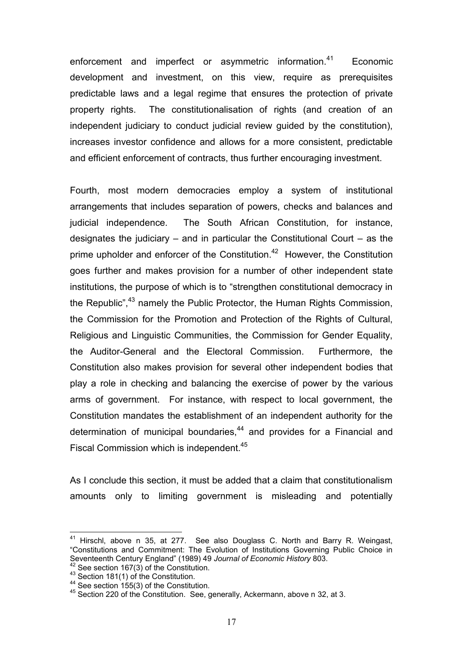enforcement and imperfect or asymmetric information.<sup>41</sup> Economic development and investment, on this view, require as prerequisites predictable laws and a legal regime that ensures the protection of private property rights. The constitutionalisation of rights (and creation of an independent judiciary to conduct judicial review quided by the constitution). increases investor confidence and allows for a more consistent, predictable and efficient enforcement of contracts, thus further encouraging investment.

Fourth, most modern democracies employ a system of institutional arrangements that includes separation of powers, checks and balances and judicial independence. The South African Constitution, for instance, designates the judiciary – and in particular the Constitutional Court – as the prime upholder and enforcer of the Constitution.<sup>42</sup> However, the Constitution goes further and makes provision for a number of other independent state institutions, the purpose of which is to "strengthen constitutional democracy in the Republic",<sup>43</sup> namely the Public Protector, the Human Rights Commission, the Commission for the Promotion and Protection of the Rights of Cultural, Religious and Linguistic Communities, the Commission for Gender Equality, the Auditor-General and the Electoral Commission. Furthermore, the Constitution also makes provision for several other independent bodies that play a role in checking and balancing the exercise of power by the various arms of government. For instance, with respect to local government, the Constitution mandates the establishment of an independent authority for the determination of municipal boundaries,<sup>44</sup> and provides for a Financial and Fiscal Commission which is independent.<sup>45</sup>

As I conclude this section, it must be added that a claim that constitutionalism amounts only to limiting government is misleading and potentially

 $41$  Hirschl, above n [35,](#page-14-0) at 277. See also Douglass C. North and Barry R. Weingast, "Constitutions and Commitment: The Evolution of Institutions Governing Public Choice in Seventeenth Century England" (1989) 49 *Journal of Economic History* 803. See section  $167(3)$  of the Constitution.

<sup>43</sup> Section 181(1) of the Constitution.

<sup>44</sup> See section 155(3) of the Constitution.

<sup>45</sup> Section 220 of the Constitution. See, generally, Ackermann, above n [32,](#page-13-0) at 3.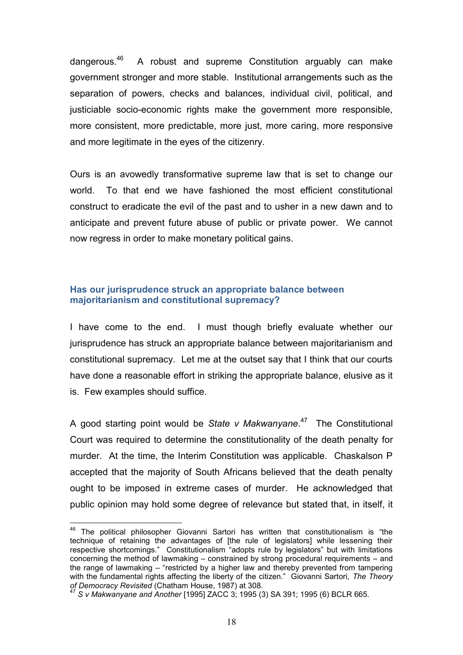dangerous.<sup>46</sup> A robust and supreme Constitution arguably can make government stronger and more stable. Institutional arrangements such as the separation of powers, checks and balances, individual civil, political, and justiciable socio-economic rights make the government more responsible, more consistent, more predictable, more just, more caring, more responsive and more legitimate in the eyes of the citizenry.

Ours is an avowedly transformative supreme law that is set to change our world. To that end we have fashioned the most efficient constitutional construct to eradicate the evil of the past and to usher in a new dawn and to anticipate and prevent future abuse of public or private power. We cannot now regress in order to make monetary political gains.

## **Has our jurisprudence struck an appropriate balance between majoritarianism and constitutional supremacy?**

I have come to the end. I must though briefly evaluate whether our jurisprudence has struck an appropriate balance between majoritarianism and constitutional supremacy. Let me at the outset say that I think that our courts have done a reasonable effort in striking the appropriate balance, elusive as it is. Few examples should suffice.

A good starting point would be *State v Makwanyane*. <sup>47</sup> The Constitutional Court was required to determine the constitutionality of the death penalty for murder. At the time, the Interim Constitution was applicable. Chaskalson P accepted that the majority of South Africans believed that the death penalty ought to be imposed in extreme cases of murder. He acknowledged that public opinion may hold some degree of relevance but stated that, in itself, it

 $46$  The political philosopher Giovanni Sartori has written that constitutionalism is "the technique of retaining the advantages of [the rule of legislators] while lessening their respective shortcomings." Constitutionalism "adopts rule by legislators" but with limitations concerning the method of lawmaking – constrained by strong procedural requirements – and the range of lawmaking – "restricted by a higher law and thereby prevented from tampering with the fundamental rights affecting the liberty of the citizen." Giovanni Sartori, *The Theory of Democracy Revisited* (Chatham House, 1987) at 308.

<sup>47</sup> *S v Makwanyane and Another* [1995] ZACC 3; 1995 (3) SA 391; 1995 (6) BCLR 665.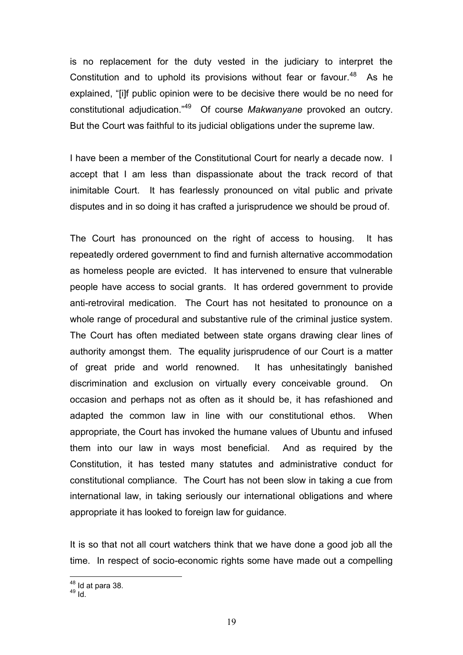is no replacement for the duty vested in the judiciary to interpret the Constitution and to uphold its provisions without fear or favour. $48$  As he explained, "[i]f public opinion were to be decisive there would be no need for constitutional adjudication."<sup>49</sup> Of course *Makwanyane* provoked an outcry. But the Court was faithful to its judicial obligations under the supreme law.

I have been a member of the Constitutional Court for nearly a decade now. I accept that I am less than dispassionate about the track record of that inimitable Court. It has fearlessly pronounced on vital public and private disputes and in so doing it has crafted a jurisprudence we should be proud of.

The Court has pronounced on the right of access to housing. It has repeatedly ordered government to find and furnish alternative accommodation as homeless people are evicted. It has intervened to ensure that vulnerable people have access to social grants. It has ordered government to provide anti-retroviral medication. The Court has not hesitated to pronounce on a whole range of procedural and substantive rule of the criminal justice system. The Court has often mediated between state organs drawing clear lines of authority amongst them. The equality jurisprudence of our Court is a matter of great pride and world renowned. It has unhesitatingly banished discrimination and exclusion on virtually every conceivable ground. On occasion and perhaps not as often as it should be, it has refashioned and adapted the common law in line with our constitutional ethos. When appropriate, the Court has invoked the humane values of Ubuntu and infused them into our law in ways most beneficial. And as required by the Constitution, it has tested many statutes and administrative conduct for constitutional compliance. The Court has not been slow in taking a cue from international law, in taking seriously our international obligations and where appropriate it has looked to foreign law for guidance.

It is so that not all court watchers think that we have done a good job all the time. In respect of socio-economic rights some have made out a compelling

<sup>1</sup>  $48$  Id at para 38.

 $^{49}$  Id.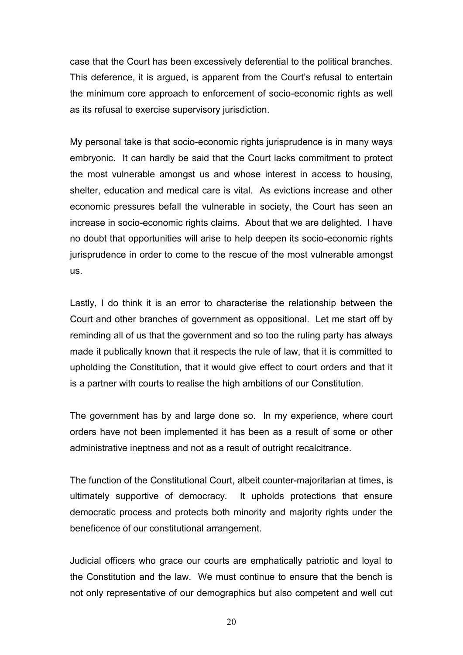case that the Court has been excessively deferential to the political branches. This deference, it is argued, is apparent from the Court's refusal to entertain the minimum core approach to enforcement of socio-economic rights as well as its refusal to exercise supervisory jurisdiction.

My personal take is that socio-economic rights jurisprudence is in many ways embryonic. It can hardly be said that the Court lacks commitment to protect the most vulnerable amongst us and whose interest in access to housing, shelter, education and medical care is vital. As evictions increase and other economic pressures befall the vulnerable in society, the Court has seen an increase in socio-economic rights claims. About that we are delighted. I have no doubt that opportunities will arise to help deepen its socio-economic rights jurisprudence in order to come to the rescue of the most vulnerable amongst us.

Lastly, I do think it is an error to characterise the relationship between the Court and other branches of government as oppositional. Let me start off by reminding all of us that the government and so too the ruling party has always made it publically known that it respects the rule of law, that it is committed to upholding the Constitution, that it would give effect to court orders and that it is a partner with courts to realise the high ambitions of our Constitution.

The government has by and large done so. In my experience, where court orders have not been implemented it has been as a result of some or other administrative ineptness and not as a result of outright recalcitrance.

The function of the Constitutional Court, albeit counter-majoritarian at times, is ultimately supportive of democracy. It upholds protections that ensure democratic process and protects both minority and majority rights under the beneficence of our constitutional arrangement.

Judicial officers who grace our courts are emphatically patriotic and loyal to the Constitution and the law. We must continue to ensure that the bench is not only representative of our demographics but also competent and well cut